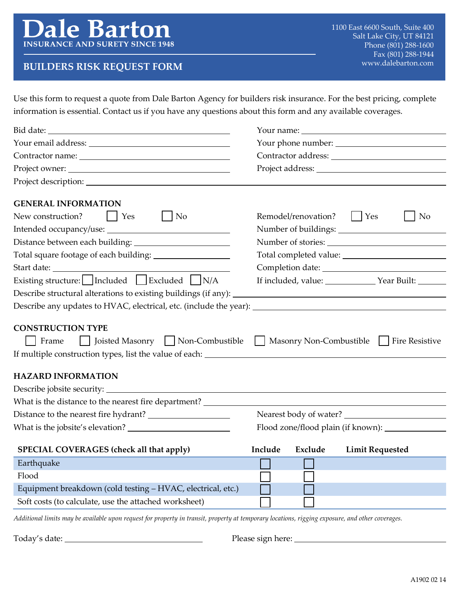# www.dalebarton.com **BUILDERS RISK REQUEST FORM**

Use this form to request a quote from Dale Barton Agency for builders risk insurance. For the best pricing, complete information is essential. Contact us if you have any questions about this form and any available coverages.

| <b>GENERAL INFORMATION</b>                                                                                                               |                                                  |                |
|------------------------------------------------------------------------------------------------------------------------------------------|--------------------------------------------------|----------------|
| New construction?<br>$\vert$ Yes<br>N <sub>o</sub>                                                                                       | Remodel/renovation?<br>Yes                       | N <sub>o</sub> |
|                                                                                                                                          |                                                  |                |
|                                                                                                                                          |                                                  |                |
|                                                                                                                                          |                                                  |                |
|                                                                                                                                          |                                                  |                |
| Existing structure: $\Box$ Included $\Box$ Excluded $\Box$ N/A                                                                           |                                                  |                |
|                                                                                                                                          |                                                  |                |
|                                                                                                                                          |                                                  |                |
| <b>CONSTRUCTION TYPE</b><br>Joisted Masonry Non-Combustible Nasonry Non-Combustible Fire Resistive<br>Frame<br><b>HAZARD INFORMATION</b> |                                                  |                |
|                                                                                                                                          |                                                  |                |
|                                                                                                                                          |                                                  |                |
|                                                                                                                                          | Nearest body of water?                           |                |
|                                                                                                                                          | Flood zone/flood plain (if known): _____________ |                |
| SPECIAL COVERAGES (check all that apply)                                                                                                 | Include<br>Exclude<br><b>Limit Requested</b>     |                |
| Earthquake <b>Earthquake</b>                                                                                                             | $\Box$<br>—                                      |                |
| Flood                                                                                                                                    |                                                  |                |
| Equipment breakdown (cold testing – HVAC, electrical, etc.)                                                                              |                                                  |                |
| Soft costs (to calculate, use the attached worksheet)                                                                                    |                                                  |                |
| Additional limits way to grailable ween noqueat for wewerety in transit, weeperty at townsyon, locations, risging                        |                                                  |                |

*Additional limits may be available upon request for property in transit, property at temporary locations, rigging exposure, and other coverages.*

Today's date: Please sign here: